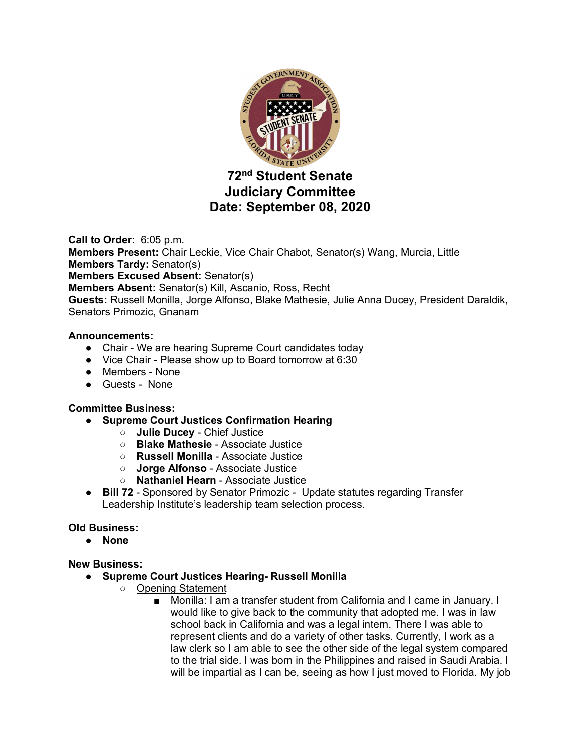

# **72nd Student Senate Judiciary Committee Date: September 08, 2020**

**Call to Order:** 6:05 p.m. **Members Present:** Chair Leckie, Vice Chair Chabot, Senator(s) Wang, Murcia, Little **Members Tardy:** Senator(s) **Members Excused Absent:** Senator(s) **Members Absent:** Senator(s) Kill, Ascanio, Ross, Recht **Guests:** Russell Monilla, Jorge Alfonso, Blake Mathesie, Julie Anna Ducey, President Daraldik, Senators Primozic, Gnanam

### **Announcements:**

- Chair We are hearing Supreme Court candidates today
- Vice Chair Please show up to Board tomorrow at 6:30
- Members None
- Guests None

### **Committee Business:**

- **Supreme Court Justices Confirmation Hearing**
	- **Julie Ducey**  Chief Justice
	- **Blake Mathesie**  Associate Justice
	- **Russell Monilla**  Associate Justice
	- **Jorge Alfonso** Associate Justice
	- **Nathaniel Hearn** Associate Justice
- **Bill 72**  Sponsored by Senator Primozic -Update statutes regarding Transfer Leadership Institute's leadership team selection process.

## **Old Business:**

● **None**

### **New Business:**

- **Supreme Court Justices Hearing- Russell Monilla**
	- Opening Statement
		- Monilla: I am a transfer student from California and I came in January. I would like to give back to the community that adopted me. I was in law school back in California and was a legal intern. There I was able to represent clients and do a variety of other tasks. Currently, I work as a law clerk so I am able to see the other side of the legal system compared to the trial side. I was born in the Philippines and raised in Saudi Arabia. I will be impartial as I can be, seeing as how I just moved to Florida. My job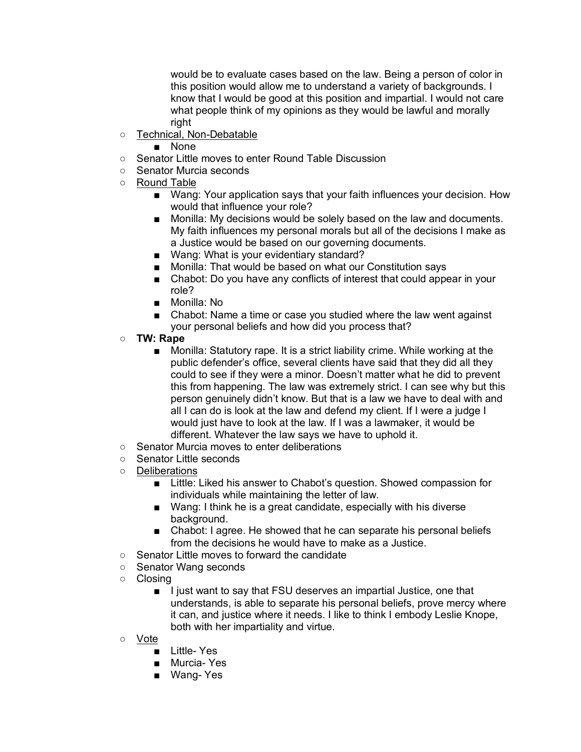would be to evaluate cases based on the law. Being a person of color in this position would allow me to understand a variety of backgrounds. I know that I would be good at this position and impartial. I would not care what people think of my opinions as they would be lawful and morally right

- Technical, Non-Debatable
	- None
- Senator Little moves to enter Round Table Discussion
- Senator Murcia seconds
- Round Table
	- Wang: Your application says that your faith influences your decision. How would that influence your role?
	- Monilla: My decisions would be solely based on the law and documents. My faith influences my personal morals but all of the decisions I make as a Justice would be based on our governing documents.
	- Wang: What is your evidentiary standard?
	- Monilla: That would be based on what our Constitution says
	- Chabot: Do you have any conflicts of interest that could appear in your role?
	- Monilla: No
	- Chabot: Name a time or case you studied where the law went against your personal beliefs and how did you process that?
- **TW: Rape**
	- Monilla: Statutory rape. It is a strict liability crime. While working at the public defender's office, several clients have said that they did all they could to see if they were a minor. Doesn't matter what he did to prevent this from happening. The law was extremely strict. I can see why but this person genuinely didn't know. But that is a law we have to deal with and all I can do is look at the law and defend my client. If I were a judge I would just have to look at the law. If I was a lawmaker, it would be different. Whatever the law says we have to uphold it.
- Senator Murcia moves to enter deliberations
- Senator Little seconds
- Deliberations
	- Little: Liked his answer to Chabot's question. Showed compassion for individuals while maintaining the letter of law.
	- Wang: I think he is a great candidate, especially with his diverse background.
	- Chabot: I agree. He showed that he can separate his personal beliefs from the decisions he would have to make as a Justice.
- Senator Little moves to forward the candidate
- Senator Wang seconds
- Closing
	- I just want to say that FSU deserves an impartial Justice, one that understands, is able to separate his personal beliefs, prove mercy where it can, and justice where it needs. I like to think I embody Leslie Knope, both with her impartiality and virtue.
- Vote
	- Little- Yes
	- Murcia- Yes
	- Wang- Yes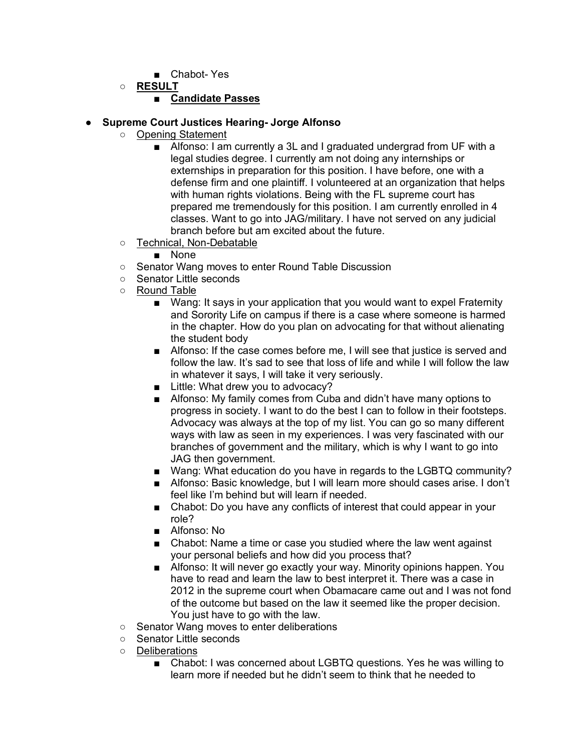- Chabot- Yes
- **RESULT**

## ■ **Candidate Passes**

### ● **Supreme Court Justices Hearing- Jorge Alfonso**

- Opening Statement
	- Alfonso: I am currently a 3L and I graduated undergrad from UF with a legal studies degree. I currently am not doing any internships or externships in preparation for this position. I have before, one with a defense firm and one plaintiff. I volunteered at an organization that helps with human rights violations. Being with the FL supreme court has prepared me tremendously for this position. I am currently enrolled in 4 classes. Want to go into JAG/military. I have not served on any judicial branch before but am excited about the future.
- Technical, Non-Debatable
	- None
- Senator Wang moves to enter Round Table Discussion
- Senator Little seconds
- Round Table
	- Wang: It says in your application that you would want to expel Fraternity and Sorority Life on campus if there is a case where someone is harmed in the chapter. How do you plan on advocating for that without alienating the student body
	- Alfonso: If the case comes before me, I will see that justice is served and follow the law. It's sad to see that loss of life and while I will follow the law in whatever it says, I will take it very seriously.
	- Little: What drew you to advocacy?
	- Alfonso: My family comes from Cuba and didn't have many options to progress in society. I want to do the best I can to follow in their footsteps. Advocacy was always at the top of my list. You can go so many different ways with law as seen in my experiences. I was very fascinated with our branches of government and the military, which is why I want to go into JAG then government.
	- Wang: What education do you have in regards to the LGBTQ community?
	- Alfonso: Basic knowledge, but I will learn more should cases arise. I don't feel like I'm behind but will learn if needed.
	- Chabot: Do you have any conflicts of interest that could appear in your role?
	- Alfonso: No
	- Chabot: Name a time or case you studied where the law went against your personal beliefs and how did you process that?
	- Alfonso: It will never go exactly your way. Minority opinions happen. You have to read and learn the law to best interpret it. There was a case in 2012 in the supreme court when Obamacare came out and I was not fond of the outcome but based on the law it seemed like the proper decision. You just have to go with the law.
- Senator Wang moves to enter deliberations
- Senator Little seconds
- Deliberations
	- Chabot: I was concerned about LGBTQ questions. Yes he was willing to learn more if needed but he didn't seem to think that he needed to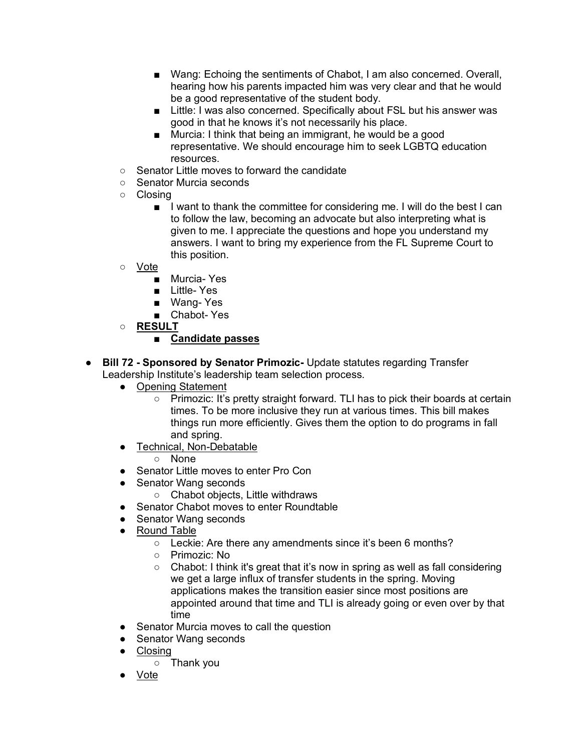- Wang: Echoing the sentiments of Chabot, I am also concerned. Overall, hearing how his parents impacted him was very clear and that he would be a good representative of the student body.
- Little: I was also concerned. Specifically about FSL but his answer was good in that he knows it's not necessarily his place.
- Murcia: I think that being an immigrant, he would be a good representative. We should encourage him to seek LGBTQ education resources.
- Senator Little moves to forward the candidate
- Senator Murcia seconds
- Closing
	- I want to thank the committee for considering me. I will do the best I can to follow the law, becoming an advocate but also interpreting what is given to me. I appreciate the questions and hope you understand my answers. I want to bring my experience from the FL Supreme Court to this position.
- Vote
	- Murcia- Yes
	- Little- Yes
	- Wang- Yes
	- Chabot- Yes
- **RESULT**

## ■ **Candidate passes**

- **Bill 72 Sponsored by Senator Primozic-** Update statutes regarding Transfer Leadership Institute's leadership team selection process.
	- Opening Statement
		- Primozic: It's pretty straight forward. TLI has to pick their boards at certain times. To be more inclusive they run at various times. This bill makes things run more efficiently. Gives them the option to do programs in fall and spring.
	- Technical, Non-Debatable
		- None
	- Senator Little moves to enter Pro Con
	- Senator Wang seconds
		- Chabot objects, Little withdraws
	- Senator Chabot moves to enter Roundtable
	- Senator Wang seconds
	- Round Table
		- Leckie: Are there any amendments since it's been 6 months?
		- Primozic: No
		- Chabot: I think it's great that it's now in spring as well as fall considering we get a large influx of transfer students in the spring. Moving applications makes the transition easier since most positions are appointed around that time and TLI is already going or even over by that time
	- Senator Murcia moves to call the question
	- Senator Wang seconds
	- Closing
		- Thank you
	- Vote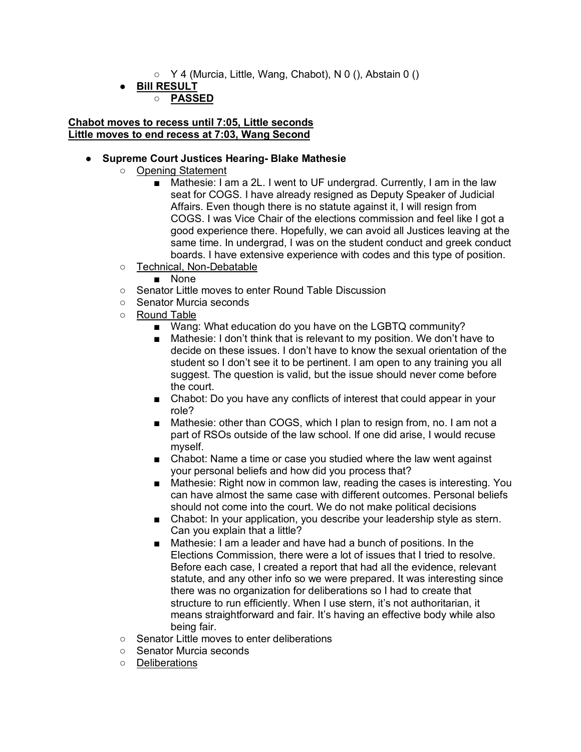- $\circ$  Y 4 (Murcia, Little, Wang, Chabot), N 0 (), Abstain 0 ()
- **Bill RESULT**

## ○ **PASSED**

#### **Chabot moves to recess until 7:05, Little seconds Little moves to end recess at 7:03, Wang Second**

### ● **Supreme Court Justices Hearing- Blake Mathesie**

- Opening Statement
	- Mathesie: I am a 2L. I went to UF undergrad. Currently, I am in the law seat for COGS. I have already resigned as Deputy Speaker of Judicial Affairs. Even though there is no statute against it, I will resign from COGS. I was Vice Chair of the elections commission and feel like I got a good experience there. Hopefully, we can avoid all Justices leaving at the same time. In undergrad, I was on the student conduct and greek conduct boards. I have extensive experience with codes and this type of position.
- Technical, Non-Debatable
	- None
- Senator Little moves to enter Round Table Discussion
- Senator Murcia seconds
- Round Table
	- Wang: What education do you have on the LGBTQ community?
	- Mathesie: I don't think that is relevant to my position. We don't have to decide on these issues. I don't have to know the sexual orientation of the student so I don't see it to be pertinent. I am open to any training you all suggest. The question is valid, but the issue should never come before the court.
	- Chabot: Do you have any conflicts of interest that could appear in your role?
	- Mathesie: other than COGS, which I plan to resign from, no. I am not a part of RSOs outside of the law school. If one did arise, I would recuse myself.
	- Chabot: Name a time or case you studied where the law went against your personal beliefs and how did you process that?
	- Mathesie: Right now in common law, reading the cases is interesting. You can have almost the same case with different outcomes. Personal beliefs should not come into the court. We do not make political decisions
	- Chabot: In your application, you describe your leadership style as stern. Can you explain that a little?
	- Mathesie: I am a leader and have had a bunch of positions. In the Elections Commission, there were a lot of issues that I tried to resolve. Before each case, I created a report that had all the evidence, relevant statute, and any other info so we were prepared. It was interesting since there was no organization for deliberations so I had to create that structure to run efficiently. When I use stern, it's not authoritarian, it means straightforward and fair. It's having an effective body while also being fair.
- Senator Little moves to enter deliberations
- Senator Murcia seconds
- Deliberations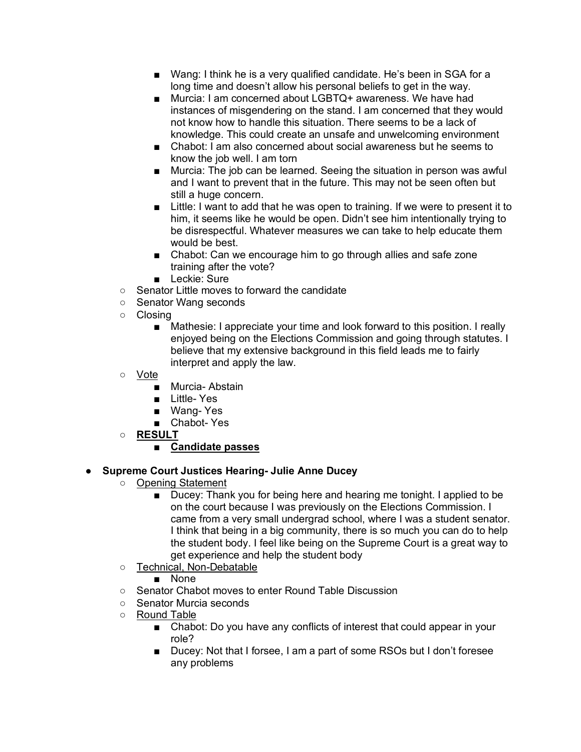- Wang: I think he is a very qualified candidate. He's been in SGA for a long time and doesn't allow his personal beliefs to get in the way.
- Murcia: I am concerned about LGBTQ+ awareness. We have had instances of misgendering on the stand. I am concerned that they would not know how to handle this situation. There seems to be a lack of knowledge. This could create an unsafe and unwelcoming environment
- Chabot: I am also concerned about social awareness but he seems to know the job well. I am torn
- Murcia: The job can be learned. Seeing the situation in person was awful and I want to prevent that in the future. This may not be seen often but still a huge concern.
- Little: I want to add that he was open to training. If we were to present it to him, it seems like he would be open. Didn't see him intentionally trying to be disrespectful. Whatever measures we can take to help educate them would be best.
- Chabot: Can we encourage him to go through allies and safe zone training after the vote?
- Leckie: Sure
- Senator Little moves to forward the candidate
- Senator Wang seconds
- Closing
	- Mathesie: I appreciate your time and look forward to this position. I really enjoyed being on the Elections Commission and going through statutes. I believe that my extensive background in this field leads me to fairly interpret and apply the law.
- Vote
	- Murcia- Abstain
	- Little- Yes
	- Wang- Yes
	- Chabot- Yes
- **RESULT**

## ■ **Candidate passes**

## ● **Supreme Court Justices Hearing- Julie Anne Ducey**

- Opening Statement
	- Ducey: Thank you for being here and hearing me tonight. I applied to be on the court because I was previously on the Elections Commission. I came from a very small undergrad school, where I was a student senator. I think that being in a big community, there is so much you can do to help the student body. I feel like being on the Supreme Court is a great way to get experience and help the student body
- Technical, Non-Debatable

■ None

- Senator Chabot moves to enter Round Table Discussion
- Senator Murcia seconds
- Round Table
	- Chabot: Do you have any conflicts of interest that could appear in your role?
	- Ducey: Not that I forsee, I am a part of some RSOs but I don't foresee any problems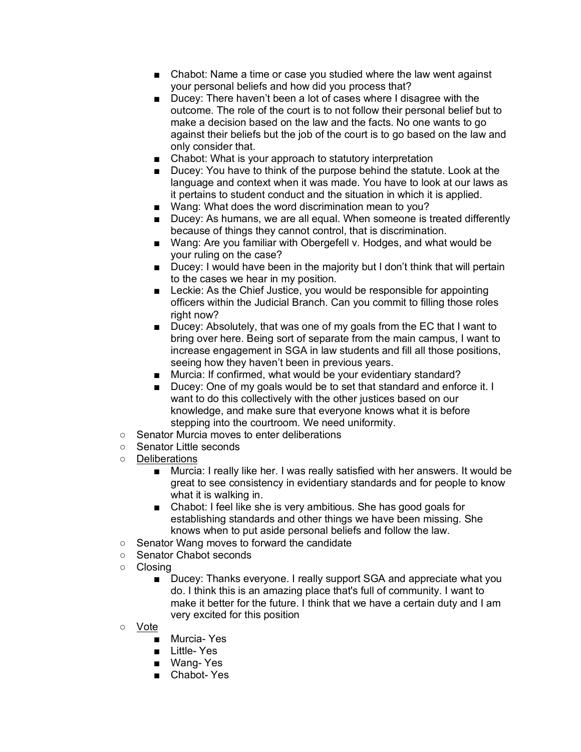- Chabot: Name a time or case you studied where the law went against your personal beliefs and how did you process that?
- Ducey: There haven't been a lot of cases where I disagree with the outcome. The role of the court is to not follow their personal belief but to make a decision based on the law and the facts. No one wants to go against their beliefs but the job of the court is to go based on the law and only consider that.
- Chabot: What is your approach to statutory interpretation
- Ducey: You have to think of the purpose behind the statute. Look at the language and context when it was made. You have to look at our laws as it pertains to student conduct and the situation in which it is applied.
- Wang: What does the word discrimination mean to you?
- Ducey: As humans, we are all equal. When someone is treated differently because of things they cannot control, that is discrimination.
- Wang: Are you familiar with Obergefell v. Hodges, and what would be your ruling on the case?
- Ducey: I would have been in the majority but I don't think that will pertain to the cases we hear in my position.
- Leckie: As the Chief Justice, you would be responsible for appointing officers within the Judicial Branch. Can you commit to filling those roles right now?
- Ducey: Absolutely, that was one of my goals from the EC that I want to bring over here. Being sort of separate from the main campus, I want to increase engagement in SGA in law students and fill all those positions, seeing how they haven't been in previous years.
- Murcia: If confirmed, what would be your evidentiary standard?
- Ducey: One of my goals would be to set that standard and enforce it. I want to do this collectively with the other justices based on our knowledge, and make sure that everyone knows what it is before stepping into the courtroom. We need uniformity.
- Senator Murcia moves to enter deliberations
- Senator Little seconds
- Deliberations
	- Murcia: I really like her. I was really satisfied with her answers. It would be great to see consistency in evidentiary standards and for people to know what it is walking in.
	- Chabot: I feel like she is very ambitious. She has good goals for establishing standards and other things we have been missing. She knows when to put aside personal beliefs and follow the law.
- Senator Wang moves to forward the candidate
- Senator Chabot seconds
- Closing
	- Ducey: Thanks everyone. I really support SGA and appreciate what you do. I think this is an amazing place that's full of community. I want to make it better for the future. I think that we have a certain duty and I am very excited for this position
- Vote
	- Murcia- Yes
	- Little- Yes
	- Wang- Yes
	- Chabot- Yes